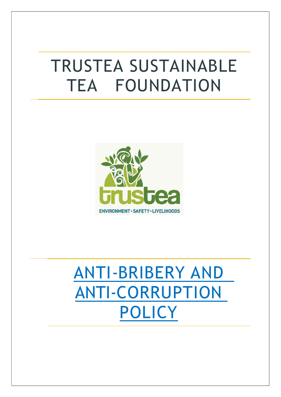# TRUSTEA SUSTAINABLE TEA FOUNDATION



# ANTI-BRIBERY AND ANTI-CORRUPTION POLICY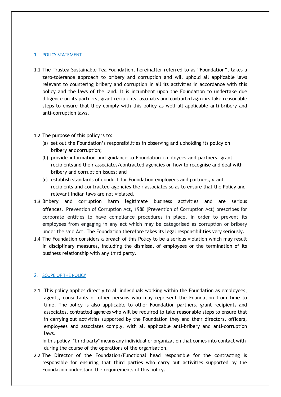#### 1. POLICY STATEMENT

- 1.1 The Trustea Sustainable Tea Foundation, hereinafter referred to as "Foundation", takes a zero-tolerance approach to bribery and corruption and will uphold all applicable laws relevant to countering bribery and corruption in all its activities in accordance with this policy and the laws of the land. It is incumbent upon the Foundation to undertake due diligence on its partners, grant recipients, associates and contracted agencies take reasonable steps to ensure that they comply with this policy as well all applicable anti-bribery and anti-corruption laws.
- 1.2 The purpose of this policy is to:
	- (a) set out the Foundation's responsibilities in observing and upholding its policy on bribery and corruption;
	- (b) provide information and guidance to Foundation employees and partners, grant recipients and their associates/contracted agencies on how to recognise and deal with bribery and corruption issues; and
	- (c) establish standards of conduct for Foundation employees and partners, grant recipients and contracted agencies their associates so as to ensure that the Policy and relevant Indian laws are not violated.
- 1.3 Bribery and corruption harm legitimate business activities and are serious offences. Prevention of Corruption Act, 1988 (Prevention of Corruption Act) prescribes for corporate entities to have compliance procedures in place, in order to prevent its employees from engaging in any act which may be categorised as corruption or bribery under the said Act. The Foundation therefore takes its legal responsibilities very seriously.
- 1.4 The Foundation considers a breach of this Policy to be a serious violation which may result in disciplinary measures, including the dismissal of employees or the termination of its business relationship with any third party.

#### 2. SCOPE OF THE POLICY

2.1 This policy applies directly to all individuals working within the Foundation as employees, agents, consultants or other persons who may represent the Foundation from time to time. The policy is also applicable to other Foundation partners, grant recipients and associates, contracted agencies who will be required to take reasonable steps to ensure that in carrying out activities supported by the Foundation they and their directors, officers, employees and associates comply, with all applicable anti-bribery and anti-corruption laws.

In this policy, "third party" means any individual or organization that comes into contact with during the course of the operations of the organisation.

2.2 The Director of the Foundation/Functional head responsible for the contracting is responsible for ensuring that third parties who carry out activities supported by the Foundation understand the requirements of this policy.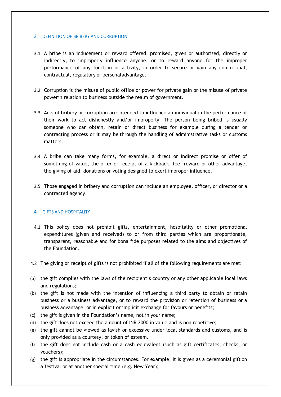#### 3. DEFINITION OF BRIBERY AND CORRUPTION

- 3.1 A bribe is an inducement or reward offered, promised, given or authorised, directly or indirectly, to improperly influence anyone, or to reward anyone for the improper performance of any function or activity, in order to secure or gain any commercial, contractual, regulatory or personal advantage.
- 3.2 Corruption is the misuse of public office or power for private gain or the misuse of private power in relation to business outside the realm of government.
- 3.3 Acts of bribery or corruption are intended to influence an individual in the performance of their work to act dishonestly and/or improperly. The person being bribed is usually someone who can obtain, retain or direct business for example during a tender or contracting process or it may be through the handling of administrative tasks or customs matters.
- 3.4 A bribe can take many forms, for example, a direct or indirect promise or offer of something of value, the offer or receipt of a kickback, fee, reward or other advantage, the giving of aid, donations or voting designed to exert improper influence.
- 3.5 Those engaged in bribery and corruption can include an employee, officer, or director or a contracted agency.

#### 4. GIFTS AND HOSPITALITY

- 4.1 This policy does not prohibit gifts, entertainment, hospitality or other promotional expenditures (given and received) to or from third parties which are proportionate, transparent, reasonable and for bona fide purposes related to the aims and objectives of the Foundation.
- 4.2 The giving or receipt of gifts is not prohibited if all of the following requirements are met:
- (a) the gift complies with the laws of the recipient's country or any other applicable local laws and regulations;
- (b) the gift is not made with the intention of influencing a third party to obtain or retain business or a business advantage, or to reward the provision or retention of business or a business advantage, or in explicit or implicit exchange for favours or benefits;
- (c) the gift is given in the Foundation's name, not in your name;
- (d) the gift does not exceed the amount of INR 2000 in value and is non repetitive;
- (e) the gift cannot be viewed as lavish or excessive under local standards and customs, and is only provided as a courtesy, or token of esteem.
- (f) the gift does not include cash or a cash equivalent (such as gift certificates, checks, or vouchers);
- (g) the gift is appropriate in the circumstances. For example, it is given as a ceremonial gift on a festival or at another special time (e.g. New Year);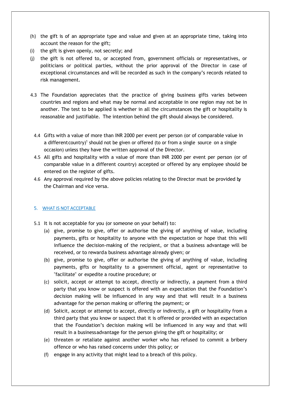- (h) the gift is of an appropriate type and value and given at an appropriate time, taking into account the reason for the gift;
- (i) the gift is given openly, not secretly; and
- (j) the gift is not offered to, or accepted from, government officials or representatives, or politicians or political parties, without the prior approval of the Director in case of exceptional circumstances and will be recorded as such in the company's records related to risk management.
- 4.3 The Foundation appreciates that the practice of giving business gifts varies between countries and regions and what may be normal and acceptable in one region may not be in another. The test to be applied is whether in all the circumstances the gift or hospitality is reasonable and justifiable. The intention behind the gift should always be considered.
	- 4.4 Gifts with a value of more than INR 2000 per event per person (or of comparable value in a different country)<sup>1</sup> should not be given or offered (to or from a single source on a single  $\vert$ occasion) unless they have the written approval of the Director.
	- 4.5 All gifts and hospitality with a value of more than INR 2000 per event per person (or of comparable value in a different country) accepted or offered by any employee should be entered on the register of gifts.
	- 4.6 Any approval required by the above policies relating to the Director must be provided by the Chairman and vice versa.

# 5. WHAT IS NOT ACCEPTABLE

- 5.1 It is not acceptable for you (or someone on your behalf) to:
	- (a) give, promise to give, offer or authorise the giving of anything of value, including payments, gifts or hospitality to anyone with the expectation or hope that this will influence the decision-making of the recipient, or that a business advantage will be received, or to rewarda business advantage already given; or
	- (b) give, promise to give, offer or authorise the giving of anything of value, including payments, gifts or hospitality to a government official, agent or representative to "facilitate" or expedite a routine procedure; or
	- (c) solicit, accept or attempt to accept, directly or indirectly, a payment from a third party that you know or suspect is offered with an expectation that the Foundation's decision making will be influenced in any way and that will result in a business advantage for the person making or offering the payment; or
	- (d) Solicit, accept or attempt to accept, directly or indirectly, a gift or hospitality from a third party that you know or suspect that it is offered or provided with an expectation that the Foundation's decision making will be influenced in any way and that will result in a business advantage for the person giving the gift or hospitality; or
	- (e) threaten or retaliate against another worker who has refused to commit a bribery offence or who has raised concerns under this policy; or
	- (f) engage in any activity that might lead to a breach of this policy.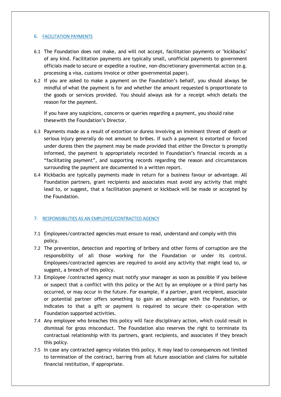# 6. FACILITATION PAYMENTS

- 6.1 The Foundation does not make, and will not accept, facilitation payments or "kickbacks" of any kind. Facilitation payments are typically small, unofficial payments to government officials made to secure or expedite a routine, non-discretionary governmental action (e.g. processing a visa, customs invoice or other governmental paper).
- 6.2 If you are asked to make a payment on the Foundation's behalf, you should always be mindful of what the payment is for and whether the amount requested is proportionate to the goods or services provided. You should always ask for a receipt which details the reason for the payment.

If you have any suspicions, concerns or queries regarding a payment, you should raise these with the Foundation's Director.

- 6.3 Payments made as a result of extortion or duress involving an imminent threat of death or serious injury generally do not amount to bribes. If such a payment is extorted or forced under duress then the payment may be made provided that either the Director is promptly informed, the payment is appropriately recorded in Foundation's financial records as a "facilitating payment", and supporting records regarding the reason and circumstances surrounding the payment are documented in a written report.
- 6.4 Kickbacks are typically payments made in return for a business favour or advantage. All Foundation partners, grant recipients and associates must avoid any activity that might lead to, or suggest, that a facilitation payment or kickback will be made or accepted by the Foundation.

#### 7. RESPONSIBILITIES AS AN EMPLOYEE/CONTRACTED AGENCY

- 7.1 Employees/contracted agencies must ensure to read, understand and comply with this policy.
- 7.2 The prevention, detection and reporting of bribery and other forms of corruption are the responsibility of all those working for the Foundation or under its control. Employees/contracted agencies are required to avoid any activity that might lead to, or suggest, a breach of this policy.
- 7.3 Employee /contracted agency must notify your manager as soon as possible if you believe or suspect that a conflict with this policy or the Act by an employee or a third party has occurred, or may occur in the future. For example, if a partner, grant recipient, associate or potential partner offers something to gain an advantage with the Foundation, or indicates to that a gift or payment is required to secure their co-operation with Foundation supported activities.
- 7.4 Any employee who breaches this policy will face disciplinary action, which could result in dismissal for gross misconduct. The Foundation also reserves the right to terminate its contractual relationship with its partners, grant recipients, and associates if they breach this policy.
- 7.5 In case any contracted agency violates this policy, it may lead to consequences not limited to termination of the contract, barring from all future association and claims for suitable financial restitution, if appropriate.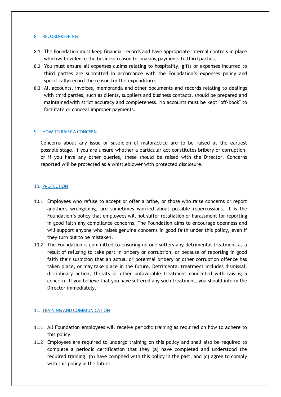#### 8. RECORD‐KEEPING

- 8.1 The Foundation must keep financial records and have appropriate internal controls in place which will evidence the business reason for making payments to third parties.
- 8.2 You must ensure all expenses claims relating to hospitality, gifts or expenses incurred to third parties are submitted in accordance with the Foundation's expenses policy and specifically record the reason for the expenditure.
- 8.3 All accounts, invoices, memoranda and other documents and records relating to dealings with third parties, such as clients, suppliers and business contacts, should be prepared and maintained with strict accuracy and completeness. No accounts must be kept "off-book" to facilitate or conceal improper payments.

#### 9. HOW TO RAISE A CONCERN

Concerns about any issue or suspicion of malpractice are to be raised at the earliest possible stage. If you are unsure whether a particular act constitutes bribery or corruption, or if you have any other queries, these should be raised with the Director. Concerns reported will be protected as a whistleblower with protected disclosure.

#### 10. PROTECTION

- 10.1 Employees who refuse to accept or offer a bribe, or those who raise concerns or report another's wrongdoing, are sometimes worried about possible repercussions. It is the Foundation's policy that employees will not suffer retaliation or harassment for reporting in good faith any compliance concerns. The Foundation aims to encourage openness and will support anyone who raises genuine concerns in good faith under this policy, even if they turn out to be mistaken.
- 10.2 The Foundation is committed to ensuring no one suffers any detrimental treatment as a result of refusing to take part in bribery or corruption, or because of reporting in good faith their suspicion that an actual or potential bribery or other corruption offence has taken place, or may take place in the future. Detrimental treatment includes dismissal, disciplinary action, threats or other unfavorable treatment connected with raising a concern. If you believe that you have suffered any such treatment, you should inform the Director immediately.

#### 11. TRAINING AND COMMUNICATION

- 11.1 All Foundation employees will receive periodic training as required on how to adhere to this policy.
- 11.2 Employees are required to undergo training on this policy and shall also be required to complete a periodic certification that they (a) have completed and understood the required training, (b) have complied with this policy in the past, and (c) agree to comply with this policy in the future.